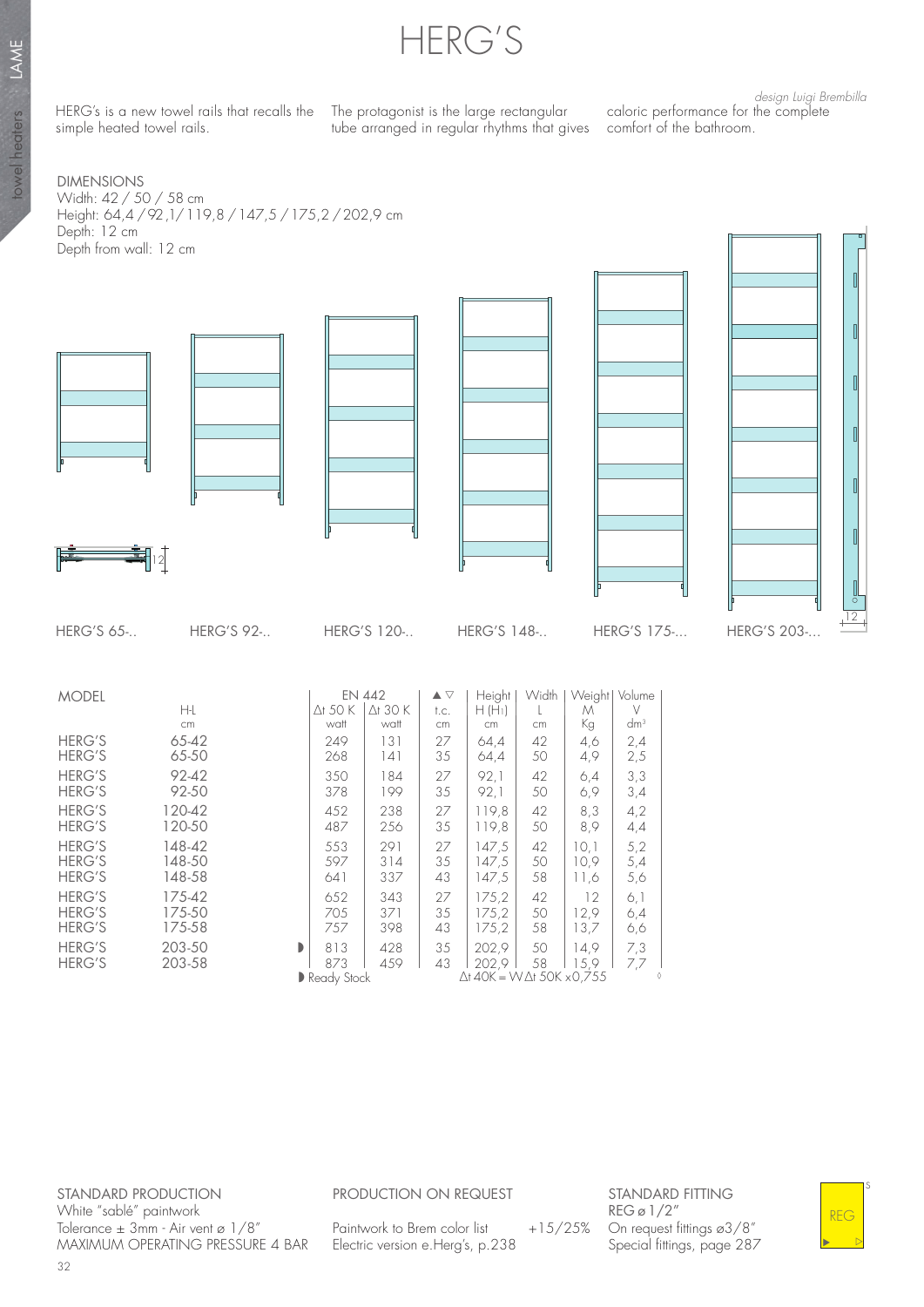HERG'S

HERG's is a new towel rails that recalls the The protagonist is the large rectangular simple heated towel rails.

tube arranged in regular rhythms that gives comfort of the bathroom.

design Luigi Brembilla caloric performance for the complete

DIMENSIONS Width: 42 / 50 / 58 cm Height: 64,4 / 92 ,1/ 119,8 / 147,5 / 175,2 / 202,9 cm Depth: 12 cm Depth from wall: 12 cm



|                                                 | H-L                        |   | △t 50 K                   | $\Delta$ t 30 K   | t.c.           | $H(H_1)$                                                    |                | М                    | $\vee$            |  |
|-------------------------------------------------|----------------------------|---|---------------------------|-------------------|----------------|-------------------------------------------------------------|----------------|----------------------|-------------------|--|
|                                                 | cm                         |   | watt                      | watt              | cm             | cm                                                          | cm             | Кg                   | dm <sup>3</sup>   |  |
| <b>HERG'S</b><br><b>HERG'S</b>                  | 65-42<br>65-50             |   | 249<br>268                | 131<br>141        | 27<br>35       | 64,4<br>64,4                                                | 42<br>50       | 4,6<br>4,9           | 2,4<br>2,5        |  |
| <b>HERG'S</b><br><b>HERG'S</b>                  | $92 - 42$<br>92-50         |   | 350<br>378                | 184<br>199        | 27<br>35       | 92.1<br>92,1                                                | 42<br>50       | 6,4<br>6,9           | 3,3<br>3,4        |  |
| <b>HERG'S</b><br><b>HERG'S</b>                  | 120-42<br>120-50           |   | 452<br>487                | 238<br>256        | 27<br>35       | 119.8<br>119,8                                              | 42<br>50       | 8,3<br>8,9           | 4,2<br>4,4        |  |
| <b>HERG'S</b><br><b>HERG'S</b><br><b>HERG'S</b> | 148-42<br>148-50<br>148-58 |   | 553<br>597<br>641         | 291<br>314<br>337 | 27<br>35<br>43 | 147.5<br>147,5<br>147,5                                     | 42<br>50<br>58 | 10,1<br>10,9<br>11,6 | 5,2<br>5,4<br>5,6 |  |
| <b>HERG'S</b><br><b>HERG'S</b><br><b>HERG'S</b> | 175-42<br>175-50<br>175-58 |   | 652<br>705<br>757         | 343<br>371<br>398 | 27<br>35<br>43 | 175,2<br>175,2<br>175,2                                     | 42<br>50<br>58 | 12<br>12,9<br>13,7   | 6,1<br>6,4<br>6,6 |  |
| <b>HERG'S</b><br><b>HERG'S</b>                  | 203-50<br>203-58           | D | 813<br>873<br>Ready Stock | 428<br>459        | 35<br>43       | 202,9<br>202.9<br>$\Delta$ t 40K = W $\Delta$ t 50K x 0,755 | 50<br>58       | 14,9<br>15.9         | 7,3<br>7,7        |  |
|                                                 |                            |   |                           |                   |                |                                                             |                |                      |                   |  |

STANDARD PRODUCTION White "sablé" paintwork Tolerance ± 3mm - Air vent ø 1/8" MAXIMUM OPERATING PRESSURE 4 BAR

## PRODUCTION ON REQUEST

Paintwork to Brem color list  $+15/25%$ Electric version e.Herg's, p.238

STANDARD FITTING REG ø 1/2" On request fittings ø3/8" Special fittings, page 287